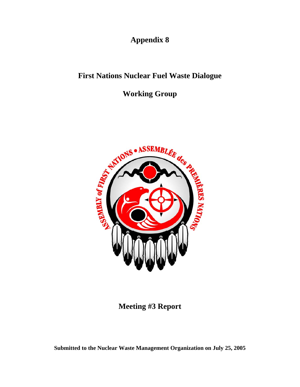**Appendix 8**

## **First Nations Nuclear Fuel Waste Dialogue**

# **Working Group**



## **Meeting #3 Report**

**Submitted to the Nuclear Waste Management Organization on July 25, 2005**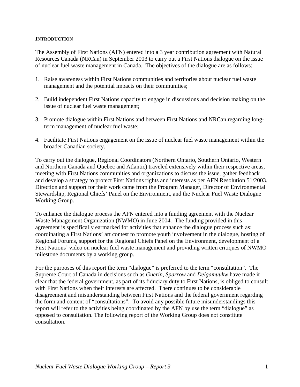### **INTRODUCTION**

The Assembly of First Nations (AFN) entered into a 3 year contribution agreement with Natural Resources Canada (NRCan) in September 2003 to carry out a First Nations dialogue on the issue of nuclear fuel waste management in Canada. The objectives of the dialogue are as follows:

- 1. Raise awareness within First Nations communities and territories about nuclear fuel waste management and the potential impacts on their communities;
- 2. Build independent First Nations capacity to engage in discussions and decision making on the issue of nuclear fuel waste management;
- 3. Promote dialogue within First Nations and between First Nations and NRCan regarding longterm management of nuclear fuel waste;
- 4. Facilitate First Nations engagement on the issue of nuclear fuel waste management within the broader Canadian society.

To carry out the dialogue, Regional Coordinators (Northern Ontario, Southern Ontario, Western and Northern Canada and Quebec and Atlantic) traveled extensively within their respective areas, meeting with First Nations communities and organizations to discuss the issue, gather feedback and develop a strategy to protect First Nations rights and interests as per AFN Resolution 51/2003. Direction and support for their work came from the Program Manager, Director of Environmental Stewardship, Regional Chiefs' Panel on the Environment, and the Nuclear Fuel Waste Dialogue Working Group.

To enhance the dialogue process the AFN entered into a funding agreement with the Nuclear Waste Management Organization (NWMO) in June 2004. The funding provided in this agreement is specifically earmarked for activities that enhance the dialogue process such as: coordinating a First Nations' art contest to promote youth involvement in the dialogue, hosting of Regional Forums, support for the Regional Chiefs Panel on the Environment, development of a First Nations' video on nuclear fuel waste management and providing written critiques of NWMO milestone documents by a working group.

For the purposes of this report the term "dialogue" is preferred to the term "consultation". The Supreme Court of Canada in decisions such as *Guerin*, *Sparrow* and *Delgamuukw* have made it clear that the federal government, as part of its fiduciary duty to First Nations, is obliged to consult with First Nations when their interests are affected. There continues to be considerable disagreement and misunderstanding between First Nations and the federal government regarding the form and content of "consultations". To avoid any possible future misunderstandings this report will refer to the activities being coordinated by the AFN by use the term "dialogue" as opposed to consultation. The following report of the Working Group does not constitute consultation.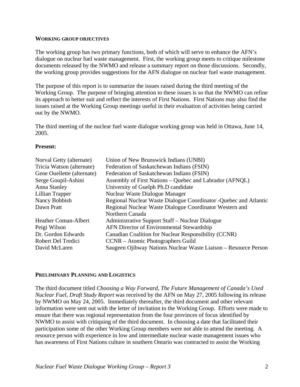#### **WORKING GROUP OBJECTIVES**

The working group has two primary functions, both of which will serve to enhance the AFN's dialogue on nuclear fuel waste management. First, the working group meets to critique milestone documents released by the NWMO and release a summary report on those discussions. Secondly, the working group provides suggestions for the AFN dialogue on nuclear fuel waste management.

The purpose of this report is to summarize the issues raised during the third meeting of the Working Group. The purpose of bringing attention to these issues is so that the NWMO can refine its approach to better suit and reflect the interests of First Nations. First Nations may also find the issues raised at the Working Group meetings useful in their evaluation of activities being carried out by the NWMO.

The third meeting of the nuclear fuel waste dialogue working group was held in Ottawa, June 14, 2005.

### **Present:**

| Norval Getty (alternate)<br>Tricia Watson (alternate) | Union of New Brunswick Indians (UNBI)<br>Federation of Saskatchewan Indians (FSIN) |
|-------------------------------------------------------|------------------------------------------------------------------------------------|
| Gene Ouellette (alternate)                            | Federation of Saskatchewan Indians (FSIN)                                          |
| Serge Goupil-Ashini                                   | Assembly of First Nations – Quebec and Labrador (AFNQL)                            |
| Anna Stanley                                          | University of Guelph Ph.D candidate                                                |
| Lillian Trapper                                       | Nuclear Waste Dialogue Manager                                                     |
| Nancy Bobbish                                         | Regional Nuclear Waste Dialogue Coordinator - Quebec and Atlantic                  |
| Dawn Pratt                                            | Regional Nuclear Waste Dialogue Coordinator Western and                            |
|                                                       | Northern Canada                                                                    |
| <b>Heather Coman-Albert</b>                           | Administrative Support Staff – Nuclear Dialogue                                    |
| Peigi Wilson                                          | AFN Director of Environmental Stewardship                                          |
| Dr. Gordon Edwards                                    | Canadian Coalition for Nuclear Responsibility (CCNR)                               |
| Robert Del Tredici                                    | CCNR – Atomic Photographers Guild                                                  |
| David McLaren                                         | Saugeen Ojibway Nations Nuclear Waste Liaison – Resource Person                    |

### **PRELIMINARY PLANNING AND LOGISTICS**

The third document titled *Choosing a Way Forward, The Future Management of Canada's Used Nuclear Fuel, Draft Study Report* was received by the AFN on May 27, 2005 following its release by NWMO on May 24, 2005. Immediately thereafter, the third document and other relevant information were sent out with the letter of invitation to the Working Group. Efforts were made to ensure that there was regional representation from the four provinces of focus identified by NWMO to assist with critiquing of the third document. In choosing a date that facilitated their participation some of the other Working Group members were not able to attend the meeting. A resource person with experience in low and intermediate nuclear waste management issues who has awareness of First Nations culture in southern Ontario was contracted to assist the Working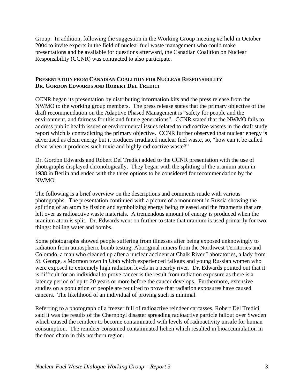Group. In addition, following the suggestion in the Working Group meeting #2 held in October 2004 to invite experts in the field of nuclear fuel waste management who could make presentations and be available for questions afterward, the Canadian Coalition on Nuclear Responsibility (CCNR) was contracted to also participate.

### **PRESENTATION FROM CANADIAN COALITION FOR NUCLEAR RESPONSIBILITY DR. GORDON EDWARDS AND ROBERT DEL TREDICI**

CCNR began its presentation by distributing information kits and the press release from the NWMO to the working group members. The press release states that the primary objective of the draft recommendation on the Adaptive Phased Management is "safety for people and the environment, and fairness for this and future generations". CCNR stated that the NWMO fails to address public health issues or environmental issues related to radioactive wastes in the draft study report which is contradicting the primary objective. CCNR further observed that nuclear energy is advertised as clean energy but it produces irradiated nuclear fuel waste, so, "how can it be called clean when it produces such toxic and highly radioactive waste?"

Dr. Gordon Edwards and Robert Del Tredici added to the CCNR presentation with the use of photographs displayed chronologically. They began with the splitting of the uranium atom in 1938 in Berlin and ended with the three options to be considered for recommendation by the NWMO.

The following is a brief overview on the descriptions and comments made with various photographs. The presentation continued with a picture of a monument in Russia showing the splitting of an atom by fission and symbolizing energy being released and the fragments that are left over as radioactive waste materials. A tremendous amount of energy is produced when the uranium atom is split. Dr. Edwards went on further to state that uranium is used primarily for two things: boiling water and bombs.

Some photographs showed people suffering from illnesses after being exposed unknowingly to radiation from atmospheric bomb testing, Aboriginal miners from the Northwest Territories and Colorado, a man who cleaned up after a nuclear accident at Chalk River Laboratories, a lady from St. George, a Mormon town in Utah which experienced fallouts and young Russian women who were exposed to extremely high radiation levels in a nearby river. Dr. Edwards pointed out that it is difficult for an individual to prove cancer is the result from radiation exposure as there is a latency period of up to 20 years or more before the cancer develops. Furthermore, extensive studies on a population of people are required to prove that radiation exposures have caused cancers. The likelihood of an individual of proving such is minimal.

Referring to a photograph of a freezer full of radioactive reindeer carcasses, Robert Del Tredici said it was the results of the Chernobyl disaster spreading radioactive particle fallout over Sweden which caused the reindeer to become contaminated with levels of radioactivity unsafe for human consumption. The reindeer consumed contaminated lichen which resulted in bioaccumulation in the food chain in this northern region.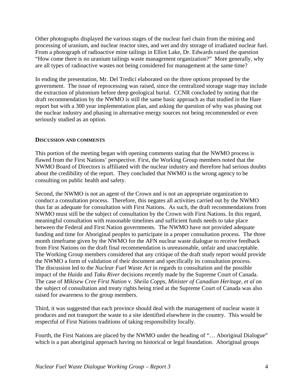Other photographs displayed the various stages of the nuclear fuel chain from the mining and processing of uranium, and nuclear reactor sites, and wet and dry storage of irradiated nuclear fuel. From a photograph of radioactive mine tailings in Elliot Lake, Dr. Edwards raised the question "How come there is no uranium tailings waste management organization?" More generally, why are all types of radioactive wastes not being considered for management at the same time?

In ending the presentation, Mr. Del Tredici elaborated on the three options proposed by the government. The issue of reprocessing was raised, since the centralized storage stage may include the extraction of plutonium before deep geological burial. CCNR concluded by noting that the draft recommendation by the NWMO is still the same basic approach as that studied in the Hare report but with a 300 year implementation plan, and asking the question of why was phasing out the nuclear industry and phasing in alternative energy sources not being recommended or even seriously studied as an option.

### **DISCUSSION AND COMMENTS**

This portion of the meeting began with opening comments stating that the NWMO process is flawed from the First Nations' perspective. First, the Working Group members noted that the NWMO Board of Directors is affiliated with the nuclear industry and therefore had serious doubts about the credibility of the report. They concluded that NWMO is the wrong agency to be consulting on public health and safety.

Second, the NWMO is not an agent of the Crown and is not an appropriate organization to conduct a consultation process. Therefore, this negates all activities carried out by the NWMO thus far as adequate for consultation with First Nations. As such, the draft recommendations from NWMO must still be the subject of consultation by the Crown with First Nations. In this regard, meaningful consultation with reasonable timelines and sufficient funds needs to take place between the Federal and First Nation governments. The NWMO have not provided adequate funding and time for Aboriginal peoples to participate in a proper consultation process. The three month timeframe given by the NWMO for the AFN nuclear waste dialogue to receive feedback from First Nations on the draft final recommendation is unreasonable, unfair and unacceptable. The Working Group members considered that any critique of the draft study report would provide the NWMO a form of validation of their document and specifically its consultation process. The discussion led to the *Nuclear Fuel Waste Act* in regards to consultation and the possible impact of the *Haida* and *Taku River* decisions recently made by the Supreme Court of Canada. The case of *Mikisew Cree First Nation* v. *Sheila Copps, Minister of Canadian Heritage, et al* on the subject of consultation and treaty rights being tried at the Supreme Court of Canada was also raised for awareness to the group members.

Third, it was suggested that each province should deal with the management of nuclear waste it produces and not transport the waste to a site identified elsewhere in the country. This would be respectful of First Nations traditions of taking responsibility locally.

Fourth, the First Nations are placed by the NWMO under the heading of "… Aboriginal Dialogue" which is a pan aboriginal approach having no historical or legal foundation. Aboriginal groups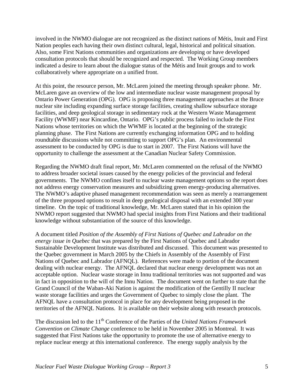involved in the NWMO dialogue are not recognized as the distinct nations of Métis, Inuit and First Nation peoples each having their own distinct cultural, legal, historical and political situation. Also, some First Nations communities and organizations are developing or have developed consultation protocols that should be recognized and respected. The Working Group members indicated a desire to learn about the dialogue status of the Métis and Inuit groups and to work collaboratively where appropriate on a unified front.

At this point, the resource person, Mr. McLaren joined the meeting through speaker phone. Mr. McLaren gave an overview of the low and intermediate nuclear waste management proposal by Ontario Power Generation (OPG). OPG is proposing three management approaches at the Bruce nuclear site including expanding surface storage facilities, creating shallow subsurface storage facilities, and deep geological storage in sedimentary rock at the Western Waste Management Facility (WWMF) near Kincardine, Ontario. OPG's public process failed to include the First Nations whose territories on which the WWMF is located at the beginning of the strategic planning phase. The First Nations are currently exchanging information OPG and to holding roundtable discussions while not committing to support OPG's plan. An environmental assessment to be conducted by OPG is due to start in 2007. The First Nations will have the opportunity to challenge the assessment at the Canadian Nuclear Safety Commission.

Regarding the NWMO draft final report, Mr. McLaren commented on the refusal of the NWMO to address broader societal issues caused by the energy policies of the provincial and federal governments. The NWMO confines itself to nuclear waste management options so the report does not address energy conservation measures and subsidizing green energy-producing alternatives. The NWMO's adaptive phased management recommendation was seen as merely a rearrangement of the three proposed options to result in deep geological disposal with an extended 300 year timeline. On the topic of traditional knowledge, Mr. McLaren stated that in his opinion the NWMO report suggested that NWMO had special insights from First Nations and their traditional knowledge without substantiation of the source of this knowledge.

A document titled *Position of the Assembly of First Nations of Quebec and Labrador on the energy issue in Quebec* that was prepared by the First Nations of Quebec and Labrador Sustainable Development Institute was distributed and discussed. This document was presented to the Quebec government in March 2005 by the Chiefs in Assembly of the Assembly of First Nations of Quebec and Labrador (AFNQL). References were made to portion of the document dealing with nuclear energy. The AFNQL declared that nuclear energy development was not an acceptable option. Nuclear waste storage in Innu traditional territories was not supported and was in fact in opposition to the will of the Innu Nation. The document went on further to state that the Grand Council of the Waban-Aki Nation is against the modification of the Gentilly II nuclear waste storage facilities and urges the Government of Quebec to simply close the plant. The AFNQL have a consultation protocol in place for any development being proposed in the territories of the AFNQL Nations. It is available on their website along with research protocols.

The discussion led to the 11<sup>th</sup> Conference of the Parties of the *United Nations Framework Convention on Climate Change* conference to be held in November 2005 in Montreal. It was suggested that First Nations take the opportunity to promote the use of alternative energy to replace nuclear energy at this international conference. The energy supply analysis by the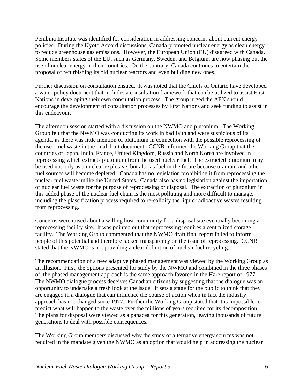Pembina Institute was identified for consideration in addressing concerns about current energy policies. During the Kyoto Accord discussions, Canada promoted nuclear energy as clean energy to reduce greenhouse gas emissions. However, the European Union (EU) disagreed with Canada. Some members states of the EU, such as Germany, Sweden, and Belgium, are now phasing out the use of nuclear energy in their countries. On the contrary, Canada continues to entertain the proposal of refurbishing its old nuclear reactors and even building new ones.

Further discussion on consultation ensued. It was noted that the Chiefs of Ontario have developed a water policy document that includes a consultation framework that can be utilized to assist First Nations in developing their own consultation process. The group urged the AFN should encourage the development of consultation processes by First Nations and seek funding to assist in this endeavour.

The afternoon session started with a discussion on the NWMO and plutonium. The Working Group felt that the NWMO was conducting its work in bad faith and were suspicious of its agenda, as there was little mention of plutonium in connection with the possible reprocessing of the used fuel waste in the final draft document. CCNR informed the Working Group that the countries of Japan, India, France, United Kingdom, Russia and North Korea are involved in reprocessing which extracts plutonium from the used nuclear fuel. The extracted plutonium may be used not only as a nuclear explosive, but also as fuel in the future because uranium and other fuel sources will become depleted. Canada has no legislation prohibiting it from reprocessing the nuclear fuel waste unlike the United States. Canada also has no legislation against the importation of nuclear fuel waste for the purpose of reprocessing or disposal. The extraction of plutonium in this added phase of the nuclear fuel chain is the most polluting and more difficult to manage, including the glassification process required to re-solidify the liquid radioactive wastes resulting from reprocessing.

Concerns were raised about a willing host community for a disposal site eventually becoming a reprocessing facility site. It was pointed out that reprocessing requires a centralized storage facility. The Working Group commented that the NWMO draft final report failed to inform people of this potential and therefore lacked transparency on the issue of reprocessing. CCNR stated that the NWMO is not providing a clear definition of nuclear fuel recycling.

The recommendation of a new adaptive phased management was viewed by the Working Group as an illusion. First, the options presented for study by the NWMO and combined in the three phases of the phased management approach is the same approach favored in the Hare report of 1977. The NWMO dialogue process deceives Canadian citizens by suggesting that the dialogue was an opportunity to undertake a fresh look at the issue. It sets a stage for the public to think that they are engaged in a dialogue that can influence the course of action when in fact the industry approach has not changed since 1977. Further the Working Group stated that it is impossible to predict what will happen to the waste over the millions of years required for its decomposition. The plans for disposal were viewed as a panacea for this generation, leaving thousands of future generations to deal with possible consequences.

The Working Group members discussed why the study of alternative energy sources was not required in the mandate given the NWMO as an option that would help in addressing the nuclear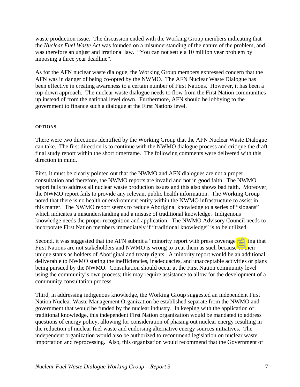waste production issue. The discussion ended with the Working Group members indicating that the *Nuclear Fuel Waste Act* was founded on a misunderstanding of the nature of the problem, and was therefore an unjust and irrational law. "You can not settle a 10 million year problem by imposing a three year deadline".

As for the AFN nuclear waste dialogue, the Working Group members expressed concern that the AFN was in danger of being co-opted by the NWMO. The AFN Nuclear Waste Dialogue has been effective in creating awareness to a certain number of First Nations. However, it has been a top-down approach. The nuclear waste dialogue needs to flow from the First Nation communities up instead of from the national level down. Furthermore, AFN should be lobbying to the government to finance such a dialogue at the First Nations level.

### **OPTIONS**

There were two directions identified by the Working Group that the AFN Nuclear Waste Dialogue can take. The first direction is to continue with the NWMO dialogue process and critique the draft final study report within the short timeframe. The following comments were delivered with this direction in mind.

First, it must be clearly pointed out that the NWMO and AFN dialogues are not a proper consultation and therefore, the NWMO reports are invalid and not in good faith. The NWMO report fails to address all nuclear waste production issues and this also shows bad faith. Moreover, the NWMO report fails to provide any relevant public health information. The Working Group noted that there is no health or environment entity within the NWMO infrastructure to assist in this matter. The NWMO report seems to reduce Aboriginal knowledge to a series of "slogans" which indicates a misunderstanding and a misuse of traditional knowledge. Indigenous knowledge needs the proper recognition and application. The NWMO Advisory Council needs to incorporate First Nation members immediately if "traditional knowledge" is to be utilized.

Second, it was suggested that the AFN submit a "minority report with press coverage" stating that First Nations are not stakeholders and NWMO is wrong to treat them as such because of their unique status as holders of Aboriginal and treaty rights. A minority report would be an additional deliverable to NWMO stating the inefficiencies, inadequacies, and unacceptable activities or plans being pursued by the NWMO. Consultation should occur at the First Nation community level using the community's own process; this may require assistance to allow for the development of a community consultation process.

Third, in addressing indigenous knowledge, the Working Group suggested an independent First Nation Nuclear Waste Management Organization be established separate from the NWMO and government that would be funded by the nuclear industry. In keeping with the application of traditional knowledge, this independent First Nation organization would be mandated to address questions of energy policy, allowing for consideration of phasing out nuclear energy resulting in the reduction of nuclear fuel waste and endorsing alternative energy sources initiatives. The independent organization would also be authorized to recommend legislation on nuclear waste importation and reprocessing. Also, this organization would recommend that the Government of